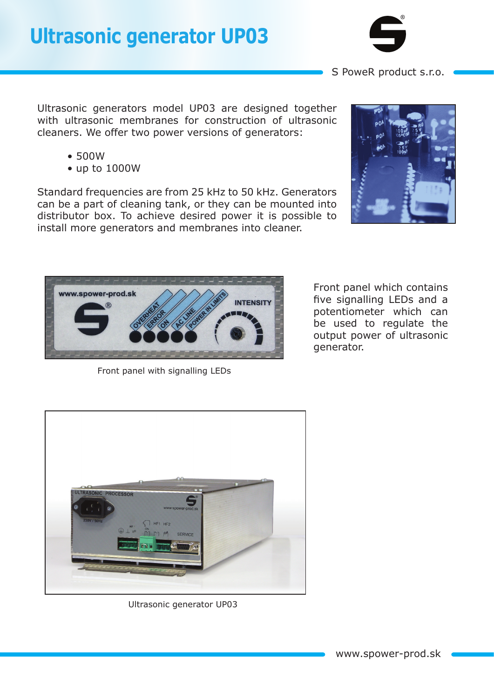## **Ultrasonic generator UP03**



S PoweR product s.r.o.

Ultrasonic generators model UP03 are designed together with ultrasonic membranes for construction of ultrasonic cleaners. We offer two power versions of generators:

- 500W
- up to 1000W

Standard frequencies are from 25 kHz to 50 kHz. Generators can be a part of cleaning tank, or they can be mounted into distributor box. To achieve desired power it is possible to install more generators and membranes into cleaner.





Front panel with signalling LEDs

Front panel which contains five signalling LEDs and a potentiometer which can be used to regulate the output power of ultrasonic generator.



Ultrasonic generator UP03